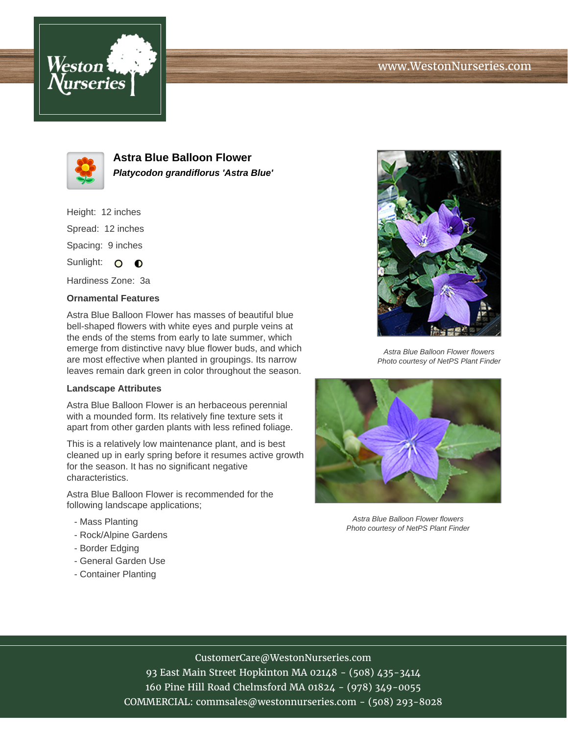# www.WestonNurseries.com





**Astra Blue Balloon Flower Platycodon grandiflorus 'Astra Blue'**

Height: 12 inches Spread: 12 inches Spacing: 9 inches Sunlight: O **O** 

Hardiness Zone: 3a

### **Ornamental Features**

Astra Blue Balloon Flower has masses of beautiful blue bell-shaped flowers with white eyes and purple veins at the ends of the stems from early to late summer, which emerge from distinctive navy blue flower buds, and which are most effective when planted in groupings. Its narrow leaves remain dark green in color throughout the season.

#### **Landscape Attributes**

Astra Blue Balloon Flower is an herbaceous perennial with a mounded form. Its relatively fine texture sets it apart from other garden plants with less refined foliage.

This is a relatively low maintenance plant, and is best cleaned up in early spring before it resumes active growth for the season. It has no significant negative characteristics.

Astra Blue Balloon Flower is recommended for the following landscape applications;

- Mass Planting
- Rock/Alpine Gardens
- Border Edging
- General Garden Use
- Container Planting



Astra Blue Balloon Flower flowers Photo courtesy of NetPS Plant Finder



Astra Blue Balloon Flower flowers Photo courtesy of NetPS Plant Finder

# CustomerCare@WestonNurseries.com

93 East Main Street Hopkinton MA 02148 - (508) 435-3414 160 Pine Hill Road Chelmsford MA 01824 - (978) 349-0055 COMMERCIAL: commsales@westonnurseries.com - (508) 293-8028